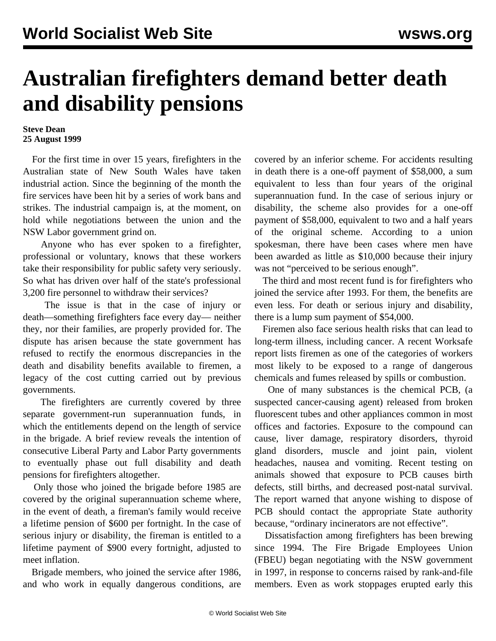## **Australian firefighters demand better death and disability pensions**

## **Steve Dean 25 August 1999**

 For the first time in over 15 years, firefighters in the Australian state of New South Wales have taken industrial action. Since the beginning of the month the fire services have been hit by a series of work bans and strikes. The industrial campaign is, at the moment, on hold while negotiations between the union and the NSW Labor government grind on.

 Anyone who has ever spoken to a firefighter, professional or voluntary, knows that these workers take their responsibility for public safety very seriously. So what has driven over half of the state's professional 3,200 fire personnel to withdraw their services?

 The issue is that in the case of injury or death—something firefighters face every day— neither they, nor their families, are properly provided for. The dispute has arisen because the state government has refused to rectify the enormous discrepancies in the death and disability benefits available to firemen, a legacy of the cost cutting carried out by previous governments.

 The firefighters are currently covered by three separate government-run superannuation funds, in which the entitlements depend on the length of service in the brigade. A brief review reveals the intention of consecutive Liberal Party and Labor Party governments to eventually phase out full disability and death pensions for firefighters altogether.

 Only those who joined the brigade before 1985 are covered by the original superannuation scheme where, in the event of death, a fireman's family would receive a lifetime pension of \$600 per fortnight. In the case of serious injury or disability, the fireman is entitled to a lifetime payment of \$900 every fortnight, adjusted to meet inflation.

 Brigade members, who joined the service after 1986, and who work in equally dangerous conditions, are covered by an inferior scheme. For accidents resulting in death there is a one-off payment of \$58,000, a sum equivalent to less than four years of the original superannuation fund. In the case of serious injury or disability, the scheme also provides for a one-off payment of \$58,000, equivalent to two and a half years of the original scheme. According to a union spokesman, there have been cases where men have been awarded as little as \$10,000 because their injury was not "perceived to be serious enough".

 The third and most recent fund is for firefighters who joined the service after 1993. For them, the benefits are even less. For death or serious injury and disability, there is a lump sum payment of \$54,000.

 Firemen also face serious health risks that can lead to long-term illness, including cancer. A recent Worksafe report lists firemen as one of the categories of workers most likely to be exposed to a range of dangerous chemicals and fumes released by spills or combustion.

 One of many substances is the chemical PCB, (a suspected cancer-causing agent) released from broken fluorescent tubes and other appliances common in most offices and factories. Exposure to the compound can cause, liver damage, respiratory disorders, thyroid gland disorders, muscle and joint pain, violent headaches, nausea and vomiting. Recent testing on animals showed that exposure to PCB causes birth defects, still births, and decreased post-natal survival. The report warned that anyone wishing to dispose of PCB should contact the appropriate State authority because, "ordinary incinerators are not effective".

 Dissatisfaction among firefighters has been brewing since 1994. The Fire Brigade Employees Union (FBEU) began negotiating with the NSW government in 1997, in response to concerns raised by rank-and-file members. Even as work stoppages erupted early this